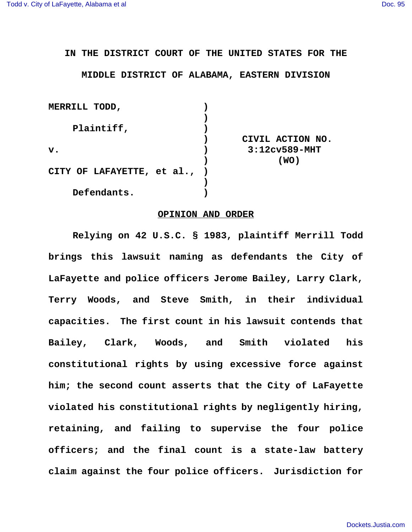**IN THE DISTRICT COURT OF THE UNITED STATES FOR THE**

**MIDDLE DISTRICT OF ALABAMA, EASTERN DIVISION**

| MERRILL TODD,                |                  |
|------------------------------|------------------|
|                              |                  |
| Plaintiff,                   |                  |
|                              | CIVIL ACTION NO. |
| $\mathbf{v}$ .               | $3:12c$ v589-MHT |
|                              | (WO)             |
| CITY OF LAFAYETTE, et al., ) |                  |
|                              |                  |
| Defendants.                  |                  |

## **OPINION AND ORDER**

**Relying on 42 U.S.C. § 1983, plaintiff Merrill Todd brings this lawsuit naming as defendants the City of LaFayette and police officers Jerome Bailey, Larry Clark, Terry Woods, and Steve Smith, in their individual capacities. The first count in his lawsuit contends that Bailey, Clark, Woods, and Smith violated his constitutional rights by using excessive force against him; the second count asserts that the City of LaFayette violated his constitutional rights by negligently hiring, retaining, and failing to supervise the four police officers; and the final count is a state-law battery claim against the four police officers. Jurisdiction for**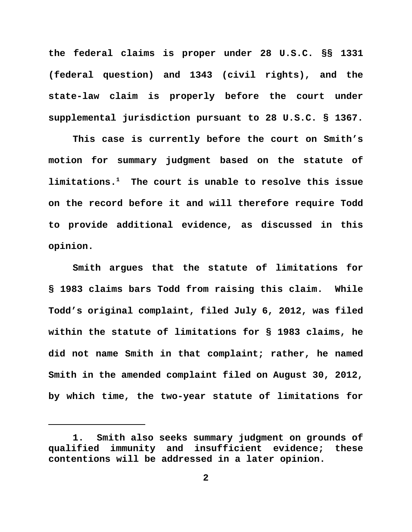**the federal claims is proper under 28 U.S.C. §§ 1331 (federal question) and 1343 (civil rights), and the state-law claim is properly before the court under supplemental jurisdiction pursuant to 28 U.S.C. § 1367.**

**This case is currently before the court on Smith's motion for summary judgment based on the statute of limitations.1 The court is unable to resolve this issue on the record before it and will therefore require Todd to provide additional evidence, as discussed in this opinion.**

**Smith argues that the statute of limitations for § 1983 claims bars Todd from raising this claim. While Todd's original complaint, filed July 6, 2012, was filed within the statute of limitations for § 1983 claims, he did not name Smith in that complaint; rather, he named Smith in the amended complaint filed on August 30, 2012, by which time, the two-year statute of limitations for**

**<sup>1.</sup> Smith also seeks summary judgment on grounds of qualified immunity and insufficient evidence; these contentions will be addressed in a later opinion.**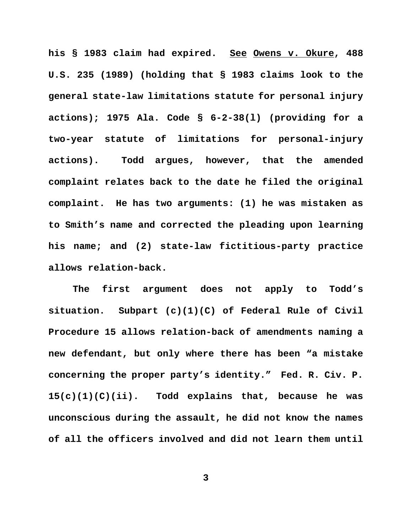**his § 1983 claim had expired. See Owens v. Okure, 488 U.S. 235 (1989) (holding that § 1983 claims look to the general state-law limitations statute for personal injury actions); 1975 Ala. Code § 6-2-38(l) (providing for a two-year statute of limitations for personal-injury actions). Todd argues, however, that the amended complaint relates back to the date he filed the original complaint. He has two arguments: (1) he was mistaken as to Smith's name and corrected the pleading upon learning his name; and (2) state-law fictitious-party practice allows relation-back.** 

**The first argument does not apply to Todd's situation. Subpart (c)(1)(C) of Federal Rule of Civil Procedure 15 allows relation-back of amendments naming a new defendant, but only where there has been "a mistake concerning the proper party's identity." Fed. R. Civ. P. 15(c)(1)(C)(ii). Todd explains that, because he was unconscious during the assault, he did not know the names of all the officers involved and did not learn them until**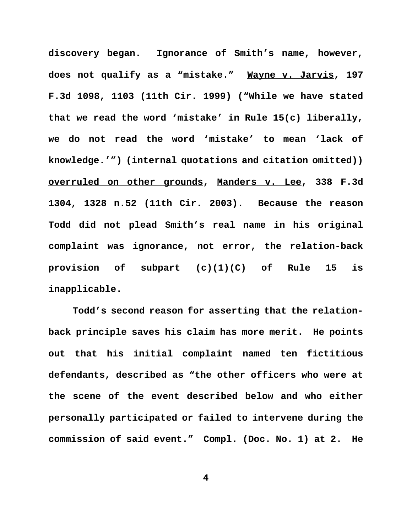**discovery began. Ignorance of Smith's name, however, does not qualify as a "mistake." Wayne v. Jarvis, 197 F.3d 1098, 1103 (11th Cir. 1999) ("While we have stated that we read the word 'mistake' in Rule 15(c) liberally, we do not read the word 'mistake' to mean 'lack of knowledge.'") (internal quotations and citation omitted)) overruled on other grounds, Manders v. Lee, 338 F.3d 1304, 1328 n.52 (11th Cir. 2003). Because the reason Todd did not plead Smith's real name in his original complaint was ignorance, not error, the relation-back provision of subpart (c)(1)(C) of Rule 15 is inapplicable.**

**Todd's second reason for asserting that the relationback principle saves his claim has more merit. He points out that his initial complaint named ten fictitious defendants, described as "the other officers who were at the scene of the event described below and who either personally participated or failed to intervene during the commission of said event." Compl. (Doc. No. 1) at 2. He**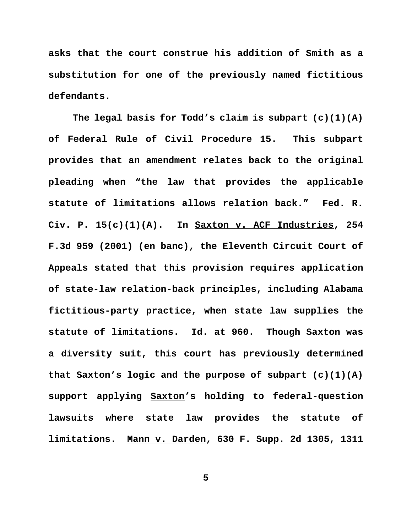**asks that the court construe his addition of Smith as a substitution for one of the previously named fictitious defendants.** 

**The legal basis for Todd's claim is subpart (c)(1)(A) of Federal Rule of Civil Procedure 15. This subpart provides that an amendment relates back to the original pleading when "the law that provides the applicable statute of limitations allows relation back." Fed. R. Civ. P. 15(c)(1)(A). In Saxton v. ACF Industries, 254 F.3d 959 (2001) (en banc), the Eleventh Circuit Court of Appeals stated that this provision requires application of state-law relation-back principles, including Alabama fictitious-party practice, when state law supplies the statute of limitations. Id. at 960. Though Saxton was a diversity suit, this court has previously determined that Saxton's logic and the purpose of subpart (c)(1)(A) support applying Saxton's holding to federal-question lawsuits where state law provides the statute of limitations. Mann v. Darden, 630 F. Supp. 2d 1305, 1311**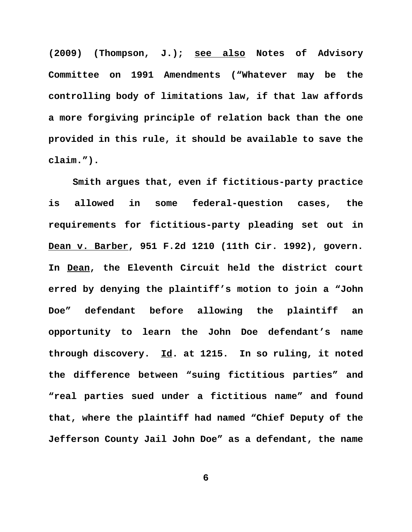**(2009) (Thompson, J.); see also Notes of Advisory Committee on 1991 Amendments ("Whatever may be the controlling body of limitations law, if that law affords a more forgiving principle of relation back than the one provided in this rule, it should be available to save the claim.").** 

**Smith argues that, even if fictitious-party practice is allowed in some federal-question cases, the requirements for fictitious-party pleading set out in Dean v. Barber, 951 F.2d 1210 (11th Cir. 1992), govern. In Dean, the Eleventh Circuit held the district court erred by denying the plaintiff's motion to join a "John Doe" defendant before allowing the plaintiff an opportunity to learn the John Doe defendant's name through discovery. Id. at 1215. In so ruling, it noted the difference between "suing fictitious parties" and "real parties sued under a fictitious name" and found that, where the plaintiff had named "Chief Deputy of the Jefferson County Jail John Doe" as a defendant, the name**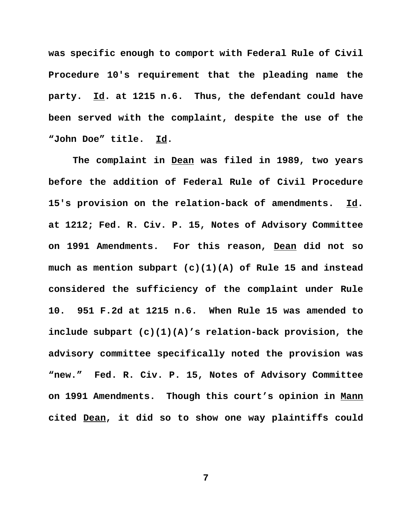**was specific enough to comport with Federal Rule of Civil Procedure 10's requirement that the pleading name the party. Id. at 1215 n.6. Thus, the defendant could have been served with the complaint, despite the use of the "John Doe" title. Id.** 

**The complaint in Dean was filed in 1989, two years before the addition of Federal Rule of Civil Procedure 15's provision on the relation-back of amendments. Id. at 1212; Fed. R. Civ. P. 15, Notes of Advisory Committee on 1991 Amendments. For this reason, Dean did not so much as mention subpart (c)(1)(A) of Rule 15 and instead considered the sufficiency of the complaint under Rule 10. 951 F.2d at 1215 n.6. When Rule 15 was amended to include subpart (c)(1)(A)'s relation-back provision, the advisory committee specifically noted the provision was "new." Fed. R. Civ. P. 15, Notes of Advisory Committee on 1991 Amendments. Though this court's opinion in Mann cited Dean, it did so to show one way plaintiffs could**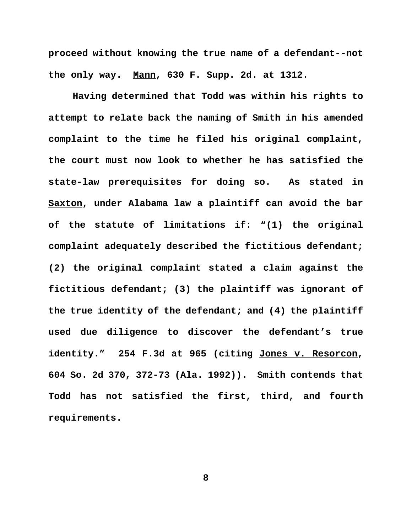**proceed without knowing the true name of a defendant--not the only way. Mann, 630 F. Supp. 2d. at 1312.** 

**Having determined that Todd was within his rights to attempt to relate back the naming of Smith in his amended complaint to the time he filed his original complaint, the court must now look to whether he has satisfied the state-law prerequisites for doing so. As stated in Saxton, under Alabama law a plaintiff can avoid the bar of the statute of limitations if: "(1) the original complaint adequately described the fictitious defendant; (2) the original complaint stated a claim against the fictitious defendant; (3) the plaintiff was ignorant of the true identity of the defendant; and (4) the plaintiff used due diligence to discover the defendant's true identity." 254 F.3d at 965 (citing Jones v. Resorcon, 604 So. 2d 370, 372-73 (Ala. 1992)). Smith contends that Todd has not satisfied the first, third, and fourth requirements.**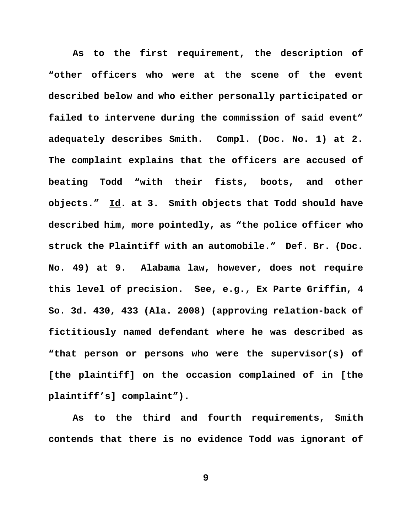**As to the first requirement, the description of "other officers who were at the scene of the event described below and who either personally participated or failed to intervene during the commission of said event" adequately describes Smith. Compl. (Doc. No. 1) at 2. The complaint explains that the officers are accused of beating Todd "with their fists, boots, and other objects." Id. at 3. Smith objects that Todd should have described him, more pointedly, as "the police officer who struck the Plaintiff with an automobile." Def. Br. (Doc. No. 49) at 9. Alabama law, however, does not require this level of precision. See, e.g., Ex Parte Griffin, 4 So. 3d. 430, 433 (Ala. 2008) (approving relation-back of fictitiously named defendant where he was described as "that person or persons who were the supervisor(s) of [the plaintiff] on the occasion complained of in [the plaintiff's] complaint").** 

**As to the third and fourth requirements, Smith contends that there is no evidence Todd was ignorant of**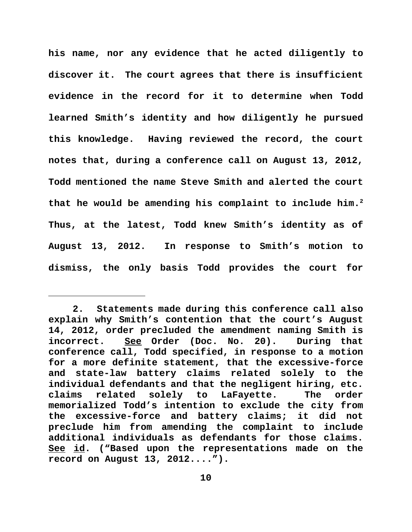**his name, nor any evidence that he acted diligently to discover it. The court agrees that there is insufficient evidence in the record for it to determine when Todd learned Smith's identity and how diligently he pursued this knowledge. Having reviewed the record, the court notes that, during a conference call on August 13, 2012, Todd mentioned the name Steve Smith and alerted the court that he would be amending his complaint to include him.2 Thus, at the latest, Todd knew Smith's identity as of August 13, 2012. In response to Smith's motion to dismiss, the only basis Todd provides the court for**

**<sup>2.</sup> Statements made during this conference call also explain why Smith's contention that the court's August 14, 2012, order precluded the amendment naming Smith is incorrect. See Order (Doc. No. 20). During that conference call, Todd specified, in response to a motion for a more definite statement, that the excessive-force and state-law battery claims related solely to the individual defendants and that the negligent hiring, etc. claims related solely to LaFayette. The order memorialized Todd's intention to exclude the city from the excessive-force and battery claims; it did not preclude him from amending the complaint to include additional individuals as defendants for those claims. See id. ("Based upon the representations made on the record on August 13, 2012....").**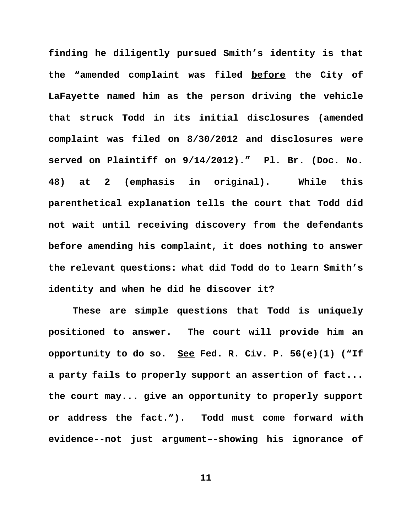**finding he diligently pursued Smith's identity is that the "amended complaint was filed before the City of LaFayette named him as the person driving the vehicle that struck Todd in its initial disclosures (amended complaint was filed on 8/30/2012 and disclosures were served on Plaintiff on 9/14/2012)." Pl. Br. (Doc. No. 48) at 2 (emphasis in original). While this parenthetical explanation tells the court that Todd did not wait until receiving discovery from the defendants before amending his complaint, it does nothing to answer the relevant questions: what did Todd do to learn Smith's identity and when he did he discover it?** 

**These are simple questions that Todd is uniquely positioned to answer. The court will provide him an opportunity to do so. See Fed. R. Civ. P. 56(e)(1) ("If a party fails to properly support an assertion of fact... the court may... give an opportunity to properly support or address the fact."). Todd must come forward with evidence--not just argument–-showing his ignorance of**